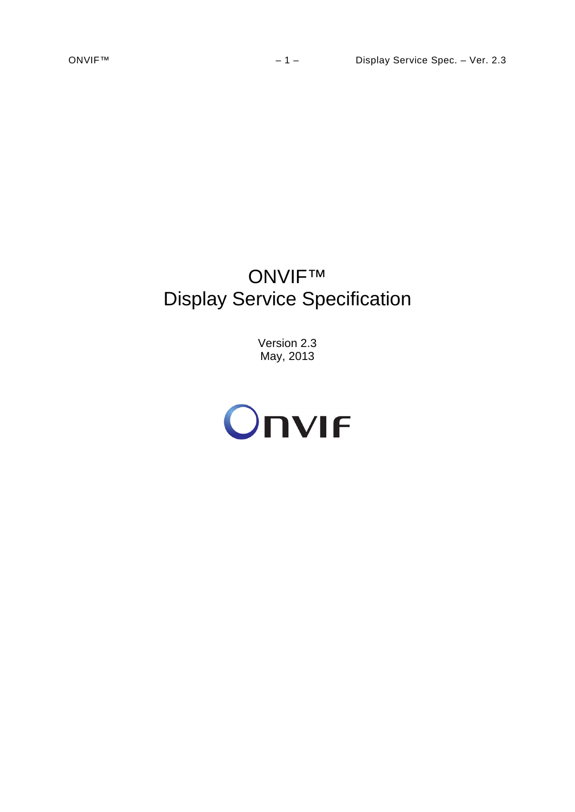# ONVIF™ Display Service Specification

Version 2.3 May, 2013

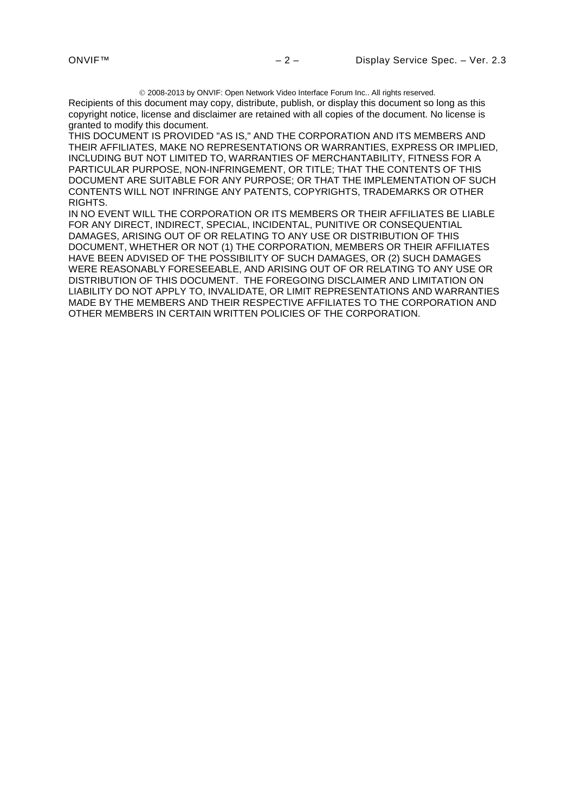2008-2013 by ONVIF: Open Network Video Interface Forum Inc.. All rights reserved.

Recipients of this document may copy, distribute, publish, or display this document so long as this copyright notice, license and disclaimer are retained with all copies of the document. No license is granted to modify this document.

THIS DOCUMENT IS PROVIDED "AS IS," AND THE CORPORATION AND ITS MEMBERS AND THEIR AFFILIATES, MAKE NO REPRESENTATIONS OR WARRANTIES, EXPRESS OR IMPLIED, INCLUDING BUT NOT LIMITED TO, WARRANTIES OF MERCHANTABILITY, FITNESS FOR A PARTICULAR PURPOSE, NON-INFRINGEMENT, OR TITLE; THAT THE CONTENTS OF THIS DOCUMENT ARE SUITABLE FOR ANY PURPOSE; OR THAT THE IMPLEMENTATION OF SUCH CONTENTS WILL NOT INFRINGE ANY PATENTS, COPYRIGHTS, TRADEMARKS OR OTHER RIGHTS.

IN NO EVENT WILL THE CORPORATION OR ITS MEMBERS OR THEIR AFFILIATES BE LIABLE FOR ANY DIRECT, INDIRECT, SPECIAL, INCIDENTAL, PUNITIVE OR CONSEQUENTIAL DAMAGES, ARISING OUT OF OR RELATING TO ANY USE OR DISTRIBUTION OF THIS DOCUMENT, WHETHER OR NOT (1) THE CORPORATION, MEMBERS OR THEIR AFFILIATES HAVE BEEN ADVISED OF THE POSSIBILITY OF SUCH DAMAGES, OR (2) SUCH DAMAGES WERE REASONABLY FORESEEABLE, AND ARISING OUT OF OR RELATING TO ANY USE OR DISTRIBUTION OF THIS DOCUMENT. THE FOREGOING DISCLAIMER AND LIMITATION ON LIABILITY DO NOT APPLY TO, INVALIDATE, OR LIMIT REPRESENTATIONS AND WARRANTIES MADE BY THE MEMBERS AND THEIR RESPECTIVE AFFILIATES TO THE CORPORATION AND OTHER MEMBERS IN CERTAIN WRITTEN POLICIES OF THE CORPORATION.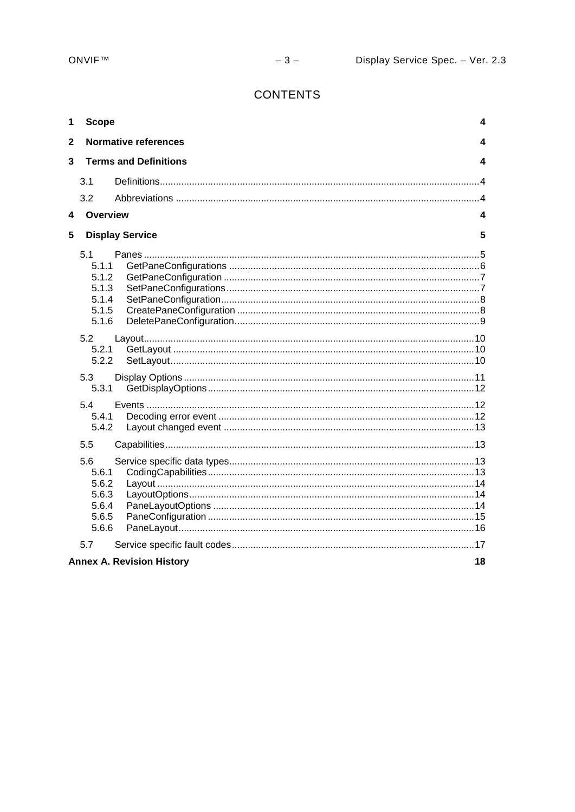# **CONTENTS**

| 1            | <b>Scope</b>                                              |                                  | 4  |
|--------------|-----------------------------------------------------------|----------------------------------|----|
| $\mathbf{2}$ |                                                           | <b>Normative references</b>      | 4  |
| 3            |                                                           | <b>Terms and Definitions</b>     | 4  |
|              | 3.1                                                       |                                  |    |
|              | 3.2                                                       |                                  |    |
| 4            | Overview                                                  |                                  | 4  |
| 5            |                                                           | <b>Display Service</b>           | 5  |
|              | 5.1<br>5.1.1<br>5.1.2<br>5.1.3<br>5.1.4<br>5.1.5<br>5.1.6 |                                  |    |
|              | 5.2<br>5.2.1<br>5.2.2                                     |                                  |    |
|              | 5.3<br>5.3.1                                              |                                  |    |
|              | 5.4<br>5.4.1<br>5.4.2                                     |                                  |    |
|              | 5.5                                                       |                                  |    |
|              | 5.6<br>5.6.1<br>5.6.2<br>5.6.3<br>5.6.4<br>5.6.5<br>5.6.6 |                                  |    |
|              | 5.7                                                       |                                  |    |
|              |                                                           | <b>Annex A. Revision History</b> | 18 |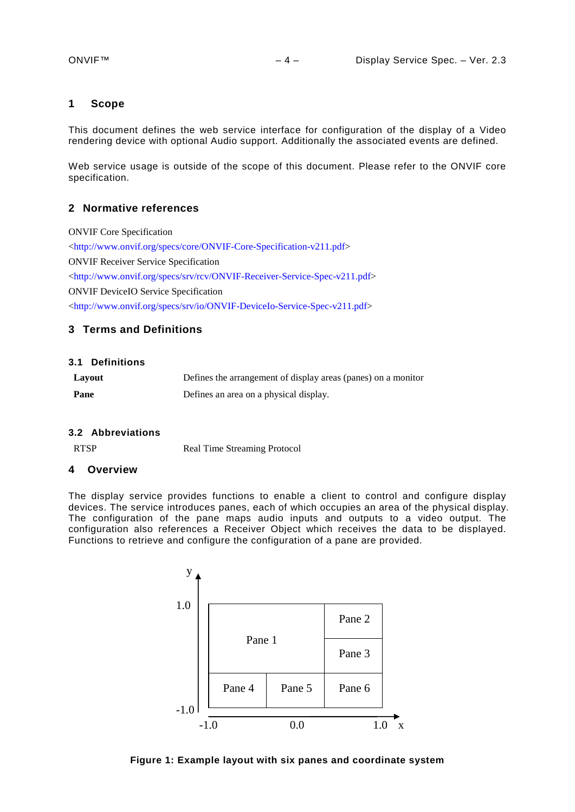#### <span id="page-3-0"></span>**1 Scope**

This document defines the web service interface for configuration of the display of a Video rendering device with optional Audio support. Additionally the associated events are defined.

Web service usage is outside of the scope of this document. Please refer to the ONVIF core specification.

# <span id="page-3-1"></span>**2 Normative references**

ONVIF Core Specification [<http://www.onvif.org/specs/core/ONVIF-Core-Specification-v211.pdf>](http://www.onvif.org/specs/core/ONVIF-Core-Specification-v211.pdf) ONVIF Receiver Service Specification [<http://www.onvif.org/specs/srv/rcv/ONVIF-Receiver-Service-Spec-v211.pdf>](http://www.onvif.org/specs/srv/rcv/ONVIF-Receiver-Service-Spec-v211.pdf) ONVIF DeviceIO Service Specification [<http://www.onvif.org/specs/srv/io/ONVIF-DeviceIo-Service-Spec-v211.pdf>](http://www.onvif.org/specs/srv/io/ONVIF-DeviceIo-Service-Spec-v211.pdf)

# <span id="page-3-2"></span>**3 Terms and Definitions**

#### <span id="page-3-3"></span>**3.1 Definitions**

| Layout | Defines the arrangement of display areas (panes) on a monitor |
|--------|---------------------------------------------------------------|
| Pane   | Defines an area on a physical display.                        |

#### <span id="page-3-4"></span>**3.2 Abbreviations**

RTSP Real Time Streaming Protocol

#### <span id="page-3-5"></span>**4 Overview**

The display service provides functions to enable a client to control and configure display devices. The service introduces panes, each of which occupies an area of the physical display. The configuration of the pane maps audio inputs and outputs to a video output. The configuration also references a Receiver Object which receives the data to be displayed. Functions to retrieve and configure the configuration of a pane are provided.



**Figure 1: Example layout with six panes and coordinate system**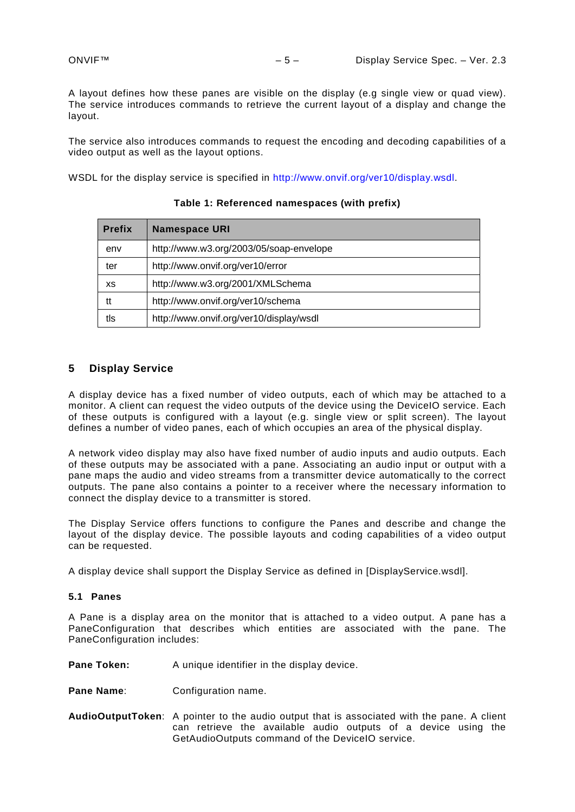A layout defines how these panes are visible on the display (e.g single view or quad view). The service introduces commands to retrieve the current layout of a display and change the layout.

The service also introduces commands to request the encoding and decoding capabilities of a video output as well as the layout options.

WSDL for the display service is specified in [http://www.onvif.org/ver10/display.wsdl.](http://www.onvif.org/ver10/display.wsdl)

| <b>Prefix</b> | <b>Namespace URI</b>                    |
|---------------|-----------------------------------------|
| env           | http://www.w3.org/2003/05/soap-envelope |
| ter           | http://www.onvif.org/ver10/error        |
| XS            | http://www.w3.org/2001/XMLSchema        |
| tt            | http://www.onvif.org/ver10/schema       |
| tls           | http://www.onvif.org/ver10/display/wsdl |

# **Table 1: Referenced namespaces (with prefix)**

### <span id="page-4-0"></span>**5 Display Service**

A display device has a fixed number of video outputs, each of which may be attached to a monitor. A client can request the video outputs of the device using the DeviceIO service. Each of these outputs is configured with a layout (e.g. single view or split screen). The layout defines a number of video panes, each of which occupies an area of the physical display.

A network video display may also have fixed number of audio inputs and audio outputs. Each of these outputs may be associated with a pane. Associating an audio input or output with a pane maps the audio and video streams from a transmitter device automatically to the correct outputs. The pane also contains a pointer to a receiver where the necessary information to connect the display device to a transmitter is stored.

The Display Service offers functions to configure the Panes and describe and change the layout of the display device. The possible layouts and coding capabilities of a video output can be requested.

A display device shall support the Display Service as defined in [DisplayService.wsdl].

## <span id="page-4-1"></span>**5.1 Panes**

A Pane is a display area on the monitor that is attached to a video output. A pane has a PaneConfiguration that describes which entities are associated with the pane. The PaneConfiguration includes:

**Pane Token:** A unique identifier in the display device.

- **Pane Name:** Configuration name.
- **AudioOutputToken**: A pointer to the audio output that is associated with the pane. A client can retrieve the available audio outputs of a device using the GetAudioOutputs command of the DeviceIO service.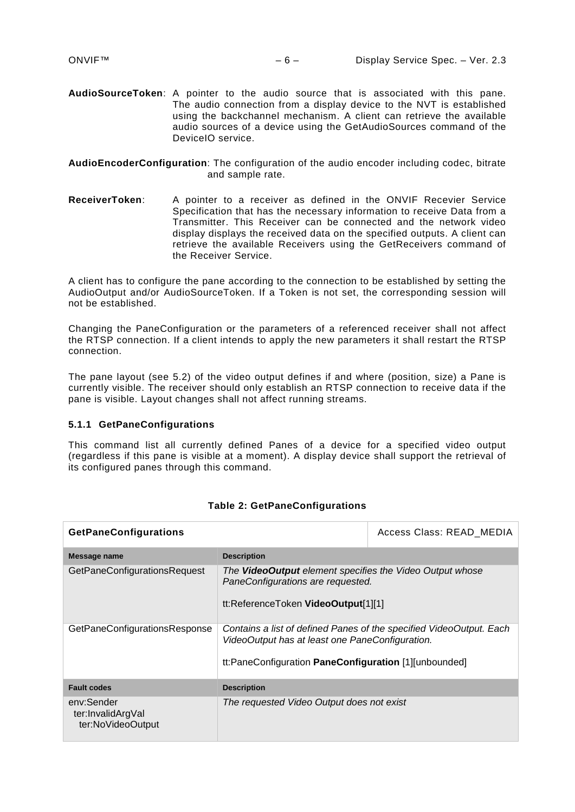- **AudioSourceToken**: A pointer to the audio source that is associated with this pane. The audio connection from a display device to the NVT is established using the backchannel mechanism. A client can retrieve the available audio sources of a device using the GetAudioSources command of the DeviceIO service.
- **AudioEncoderConfiguration**: The configuration of the audio encoder including codec, bitrate and sample rate.
- **ReceiverToken**: A pointer to a receiver as defined in the ONVIF Recevier Service Specification that has the necessary information to receive Data from a Transmitter. This Receiver can be connected and the network video display displays the received data on the specified outputs. A client can retrieve the available Receivers using the GetReceivers command of the Receiver Service.

A client has to configure the pane according to the connection to be established by setting the AudioOutput and/or AudioSourceToken. If a Token is not set, the corresponding session will not be established.

Changing the PaneConfiguration or the parameters of a referenced receiver shall not affect the RTSP connection. If a client intends to apply the new parameters it shall restart the RTSP connection.

The pane layout (see [5.2\)](#page-9-0) of the video output defines if and where (position, size) a Pane is currently visible. The receiver should only establish an RTSP connection to receive data if the pane is visible. Layout changes shall not affect running streams.

#### <span id="page-5-0"></span>**5.1.1 GetPaneConfigurations**

This command list all currently defined Panes of a device for a specified video output (regardless if this pane is visible at a moment). A display device shall support the retrieval of its configured panes through this command.

| <b>GetPaneConfigurations</b>                         |                                                                                                                                                                                 | Access Class: READ MEDIA |
|------------------------------------------------------|---------------------------------------------------------------------------------------------------------------------------------------------------------------------------------|--------------------------|
| Message name                                         | <b>Description</b>                                                                                                                                                              |                          |
| GetPaneConfigurationsRequest                         | The <b>VideoOutput</b> element specifies the Video Output whose<br>PaneConfigurations are requested.<br>tt:ReferenceToken VideoOutput[1][1]                                     |                          |
| GetPaneConfigurationsResponse                        | Contains a list of defined Panes of the specified VideoOutput. Each<br>VideoOutput has at least one PaneConfiguration.<br>tt:PaneConfiguration PaneConfiguration [1][unbounded] |                          |
| <b>Fault codes</b>                                   | <b>Description</b>                                                                                                                                                              |                          |
| env:Sender<br>ter:InvalidArgVal<br>ter:NoVideoOutput | The requested Video Output does not exist                                                                                                                                       |                          |

#### **Table 2: GetPaneConfigurations**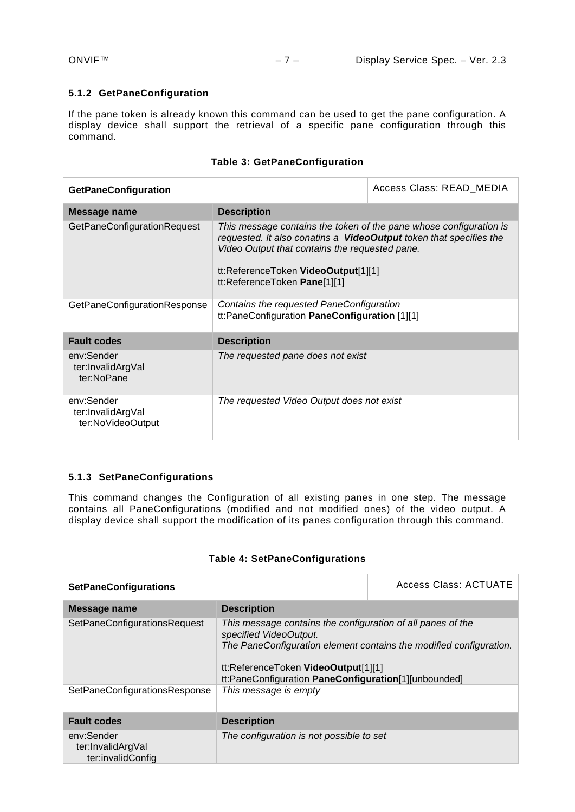# <span id="page-6-0"></span>**5.1.2 GetPaneConfiguration**

If the pane token is already known this command can be used to get the pane configuration. A display device shall support the retrieval of a specific pane configuration through this command.

| <b>GetPaneConfiguration</b>                          | Access Class: READ MEDIA                                                                                                                                                                                                                                          |  |
|------------------------------------------------------|-------------------------------------------------------------------------------------------------------------------------------------------------------------------------------------------------------------------------------------------------------------------|--|
| Message name                                         | <b>Description</b>                                                                                                                                                                                                                                                |  |
| <b>GetPaneConfigurationRequest</b>                   | This message contains the token of the pane whose configuration is<br>requested. It also conatins a VideoOutput token that specifies the<br>Video Output that contains the requested pane.<br>tt:ReferenceToken VideoOutput[1][1]<br>tt:ReferenceToken Pane[1][1] |  |
| GetPaneConfigurationResponse                         | Contains the requested PaneConfiguration<br>tt:PaneConfiguration PaneConfiguration [1][1]                                                                                                                                                                         |  |
| <b>Fault codes</b>                                   | <b>Description</b>                                                                                                                                                                                                                                                |  |
| env:Sender<br>ter:InvalidArgVal<br>ter:NoPane        | The requested pane does not exist                                                                                                                                                                                                                                 |  |
| env:Sender<br>ter:InvalidArgVal<br>ter:NoVideoOutput | The requested Video Output does not exist                                                                                                                                                                                                                         |  |

# **Table 3: GetPaneConfiguration**

# <span id="page-6-1"></span>**5.1.3 SetPaneConfigurations**

This command changes the Configuration of all existing panes in one step. The message contains all PaneConfigurations (modified and not modified ones) of the video output. A display device shall support the modification of its panes configuration through this command.

# **Table 4: SetPaneConfigurations**

| <b>SetPaneConfigurations</b>                                                                                                                                                                                                                                                   |                                          | Access Class: ACTUATE                                              |
|--------------------------------------------------------------------------------------------------------------------------------------------------------------------------------------------------------------------------------------------------------------------------------|------------------------------------------|--------------------------------------------------------------------|
| Message name                                                                                                                                                                                                                                                                   | <b>Description</b>                       |                                                                    |
| This message contains the configuration of all panes of the<br>SetPaneConfigurationsRequest<br>specified VideoOutput.<br>tt:ReferenceToken VideoOutput[1][1]<br>tt:PaneConfiguration PaneConfiguration[1][unbounded]<br>This message is empty<br>SetPaneConfigurationsResponse |                                          | The PaneConfiguration element contains the modified configuration. |
|                                                                                                                                                                                                                                                                                |                                          |                                                                    |
| <b>Fault codes</b>                                                                                                                                                                                                                                                             | <b>Description</b>                       |                                                                    |
| env:Sender<br>ter:InvalidArgVal<br>ter:invalidConfig                                                                                                                                                                                                                           | The configuration is not possible to set |                                                                    |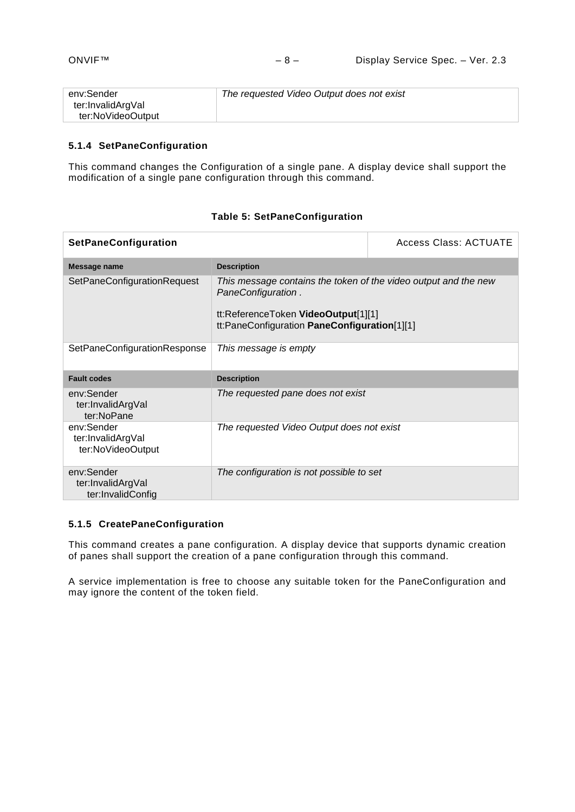| env:Sender        | The requested Video Output does not exist |
|-------------------|-------------------------------------------|
| ter:InvalidArgVal |                                           |
| ter:NoVideoOutput |                                           |

# <span id="page-7-0"></span>**5.1.4 SetPaneConfiguration**

This command changes the Configuration of a single pane. A display device shall support the modification of a single pane configuration through this command.

| <b>SetPaneConfiguration</b>                          | <b>Access Class: ACTUATE</b>                                                                                                                                                 |  |
|------------------------------------------------------|------------------------------------------------------------------------------------------------------------------------------------------------------------------------------|--|
| Message name                                         | <b>Description</b>                                                                                                                                                           |  |
| SetPaneConfigurationRequest                          | This message contains the token of the video output and the new<br>PaneConfiguration.<br>tt:ReferenceToken VideoOutput[1][1]<br>tt:PaneConfiguration PaneConfiguration[1][1] |  |
| SetPaneConfigurationResponse                         | This message is empty                                                                                                                                                        |  |
| <b>Fault codes</b>                                   | <b>Description</b>                                                                                                                                                           |  |
| env:Sender<br>ter:InvalidArgVal<br>ter:NoPane        | The requested pane does not exist                                                                                                                                            |  |
| env:Sender<br>ter:InvalidArgVal<br>ter:NoVideoOutput | The requested Video Output does not exist                                                                                                                                    |  |
| env:Sender<br>ter:InvalidArgVal<br>ter:InvalidConfig | The configuration is not possible to set                                                                                                                                     |  |

# **Table 5: SetPaneConfiguration**

# <span id="page-7-1"></span>**5.1.5 CreatePaneConfiguration**

This command creates a pane configuration. A display device that supports dynamic creation of panes shall support the creation of a pane configuration through this command.

A service implementation is free to choose any suitable token for the PaneConfiguration and may ignore the content of the token field.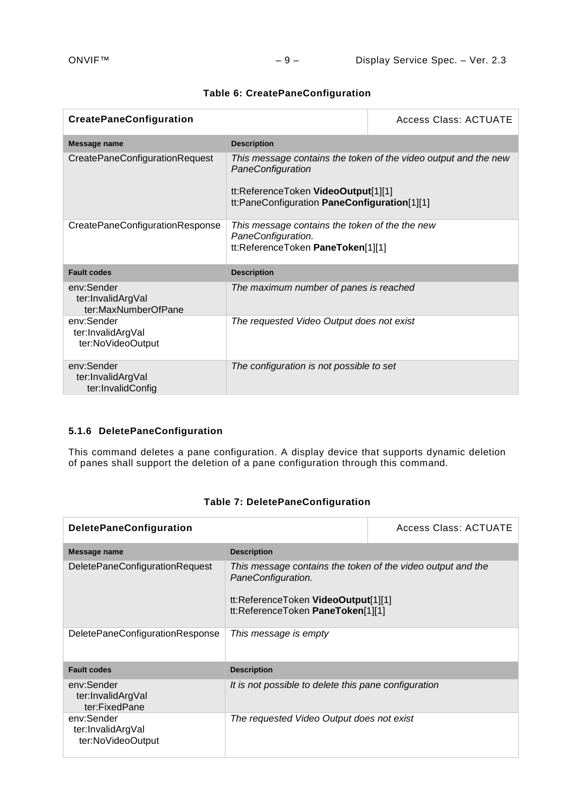|  | <b>Table 6: CreatePaneConfiguration</b> |
|--|-----------------------------------------|
|--|-----------------------------------------|

| <b>CreatePaneConfiguration</b>                         | Access Class: ACTUATE                                                                                     |                                                                 |
|--------------------------------------------------------|-----------------------------------------------------------------------------------------------------------|-----------------------------------------------------------------|
| Message name                                           | <b>Description</b>                                                                                        |                                                                 |
| CreatePaneConfigurationRequest                         | PaneConfiguration<br>tt:ReferenceToken VideoOutput[1][1]<br>tt:PaneConfiguration PaneConfiguration[1][1]  | This message contains the token of the video output and the new |
| CreatePaneConfigurationResponse                        | This message contains the token of the the new<br>PaneConfiguration.<br>tt:ReferenceToken PaneToken[1][1] |                                                                 |
| <b>Fault codes</b>                                     | <b>Description</b>                                                                                        |                                                                 |
| env:Sender<br>ter:InvalidArgVal<br>ter:MaxNumberOfPane | The maximum number of panes is reached                                                                    |                                                                 |
| env:Sender<br>ter:InvalidArgVal<br>ter:NoVideoOutput   | The requested Video Output does not exist                                                                 |                                                                 |
| env:Sender<br>ter:InvalidArgVal<br>ter:InvalidConfig   | The configuration is not possible to set                                                                  |                                                                 |

# <span id="page-8-0"></span>**5.1.6 DeletePaneConfiguration**

This command deletes a pane configuration. A display device that supports dynamic deletion of panes shall support the deletion of a pane configuration through this command.

| <b>DeletePaneConfiguration</b>                       |                                                                                                                                                               | <b>Access Class: ACTUATE</b> |
|------------------------------------------------------|---------------------------------------------------------------------------------------------------------------------------------------------------------------|------------------------------|
| Message name                                         | <b>Description</b>                                                                                                                                            |                              |
| DeletePaneConfigurationRequest                       | This message contains the token of the video output and the<br>PaneConfiguration.<br>tt:ReferenceToken VideoOutput[1][1]<br>tt:ReferenceToken PaneToken[1][1] |                              |
| DeletePaneConfigurationResponse                      | This message is empty                                                                                                                                         |                              |
| <b>Fault codes</b>                                   | <b>Description</b>                                                                                                                                            |                              |
| env:Sender<br>ter:InvalidArgVal<br>ter:FixedPane     | It is not possible to delete this pane configuration                                                                                                          |                              |
| env:Sender<br>ter:InvalidArgVal<br>ter:NoVideoOutput | The requested Video Output does not exist                                                                                                                     |                              |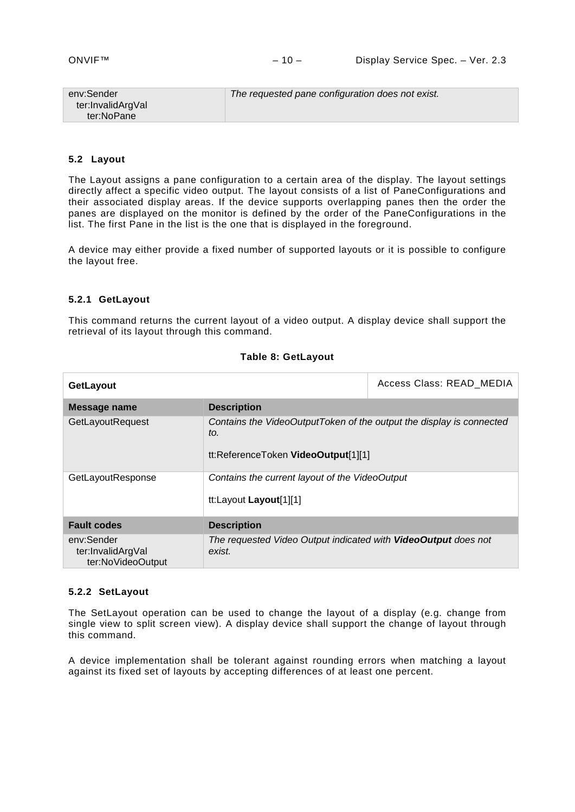| env:Sender        | The requested pane configuration does not exist. |
|-------------------|--------------------------------------------------|
| ter:InvalidArgVal |                                                  |
| ter:NoPane        |                                                  |

#### <span id="page-9-0"></span>**5.2 Layout**

The Layout assigns a pane configuration to a certain area of the display. The layout settings directly affect a specific video output. The layout consists of a list of PaneConfigurations and their associated display areas. If the device supports overlapping panes then the order the panes are displayed on the monitor is defined by the order of the PaneConfigurations in the list. The first Pane in the list is the one that is displayed in the foreground.

A device may either provide a fixed number of supported layouts or it is possible to configure the layout free.

#### <span id="page-9-1"></span>**5.2.1 GetLayout**

This command returns the current layout of a video output. A display device shall support the retrieval of its layout through this command.

#### **Table 8: GetLayout**

| <b>GetLayout</b>                                     |                                                                                                                    | Access Class: READ_MEDIA |
|------------------------------------------------------|--------------------------------------------------------------------------------------------------------------------|--------------------------|
| Message name                                         | <b>Description</b>                                                                                                 |                          |
| GetLayoutRequest                                     | Contains the VideoOutputToken of the output the display is connected<br>to.<br>tt:ReferenceToken VideoOutput[1][1] |                          |
| GetLayoutResponse                                    | Contains the current layout of the VideoOutput<br>tt:Layout Layout[1][1]                                           |                          |
| <b>Fault codes</b>                                   | <b>Description</b>                                                                                                 |                          |
| env:Sender<br>ter:InvalidArgVal<br>ter:NoVideoOutput | The requested Video Output indicated with VideoOutput does not<br>exist.                                           |                          |

#### <span id="page-9-2"></span>**5.2.2 SetLayout**

The SetLayout operation can be used to change the layout of a display (e.g. change from single view to split screen view). A display device shall support the change of layout through this command.

A device implementation shall be tolerant against rounding errors when matching a layout against its fixed set of layouts by accepting differences of at least one percent.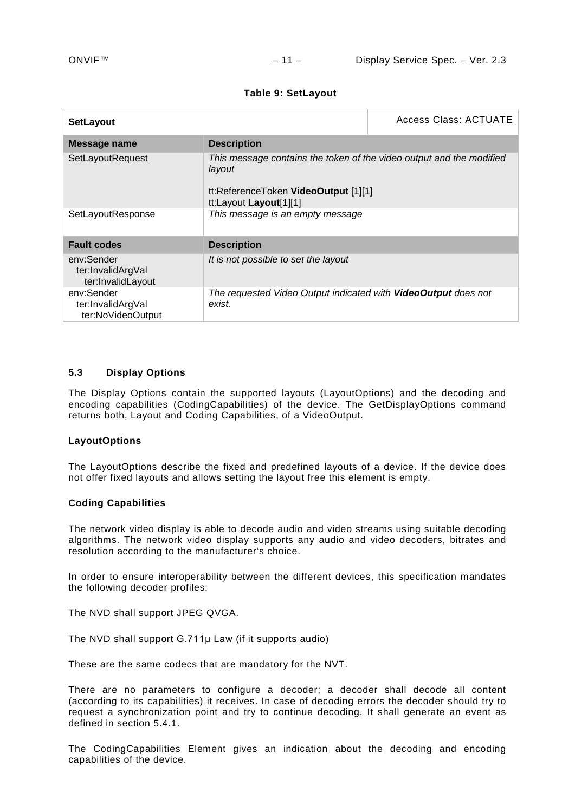#### **Table 9: SetLayout**

| <b>SetLayout</b>                                     |                                                                                                                                                  | Access Class: ACTUATE |
|------------------------------------------------------|--------------------------------------------------------------------------------------------------------------------------------------------------|-----------------------|
| <b>Message name</b>                                  | <b>Description</b>                                                                                                                               |                       |
| SetLayoutRequest                                     | This message contains the token of the video output and the modified<br>layout<br>tt:ReferenceToken VideoOutput [1][1]<br>tt:Layout Layout[1][1] |                       |
| SetLayoutResponse                                    | This message is an empty message                                                                                                                 |                       |
| <b>Fault codes</b>                                   | <b>Description</b>                                                                                                                               |                       |
| env:Sender<br>ter:InvalidArgVal<br>ter:InvalidLayout | It is not possible to set the layout                                                                                                             |                       |
| env:Sender<br>ter:InvalidArgVal<br>ter:NoVideoOutput | The requested Video Output indicated with VideoOutput does not<br>exist.                                                                         |                       |

# <span id="page-10-0"></span>**5.3 Display Options**

The Display Options contain the supported layouts (LayoutOptions) and the decoding and encoding capabilities (CodingCapabilities) of the device. The GetDisplayOptions command returns both, Layout and Coding Capabilities, of a VideoOutput.

#### **LayoutOptions**

The LayoutOptions describe the fixed and predefined layouts of a device. If the device does not offer fixed layouts and allows setting the layout free this element is empty.

#### **Coding Capabilities**

The network video display is able to decode audio and video streams using suitable decoding algorithms. The network video display supports any audio and video decoders, bitrates and resolution according to the manufacturer's choice.

In order to ensure interoperability between the different devices, this specification mandates the following decoder profiles:

The NVD shall support JPEG QVGA.

The NVD shall support G.711µ Law (if it supports audio)

These are the same codecs that are mandatory for the NVT.

There are no parameters to configure a decoder; a decoder shall decode all content (according to its capabilities) it receives. In case of decoding errors the decoder should try to request a synchronization point and try to continue decoding. It shall generate an event as defined in section [5.4.1.](#page-11-2)

The CodingCapabilities Element gives an indication about the decoding and encoding capabilities of the device.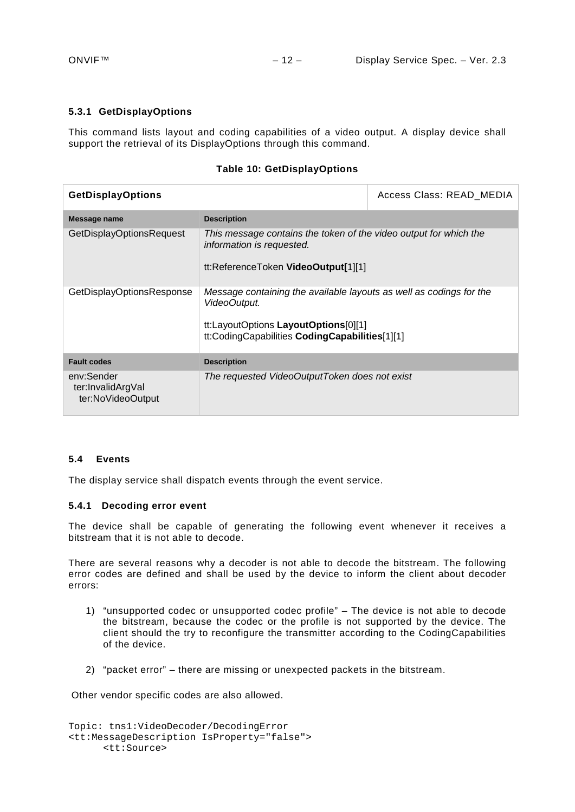# <span id="page-11-0"></span>**5.3.1 GetDisplayOptions**

This command lists layout and coding capabilities of a video output. A display device shall support the retrieval of its DisplayOptions through this command.

#### **Table 10: GetDisplayOptions**

| <b>GetDisplayOptions</b>                             |                                                                                                                                                                               | Access Class: READ MEDIA |
|------------------------------------------------------|-------------------------------------------------------------------------------------------------------------------------------------------------------------------------------|--------------------------|
| Message name                                         | <b>Description</b>                                                                                                                                                            |                          |
| <b>GetDisplayOptionsRequest</b>                      | This message contains the token of the video output for which the<br>information is requested.<br>tt:ReferenceToken VideoOutput[1][1]                                         |                          |
| GetDisplayOptionsResponse                            | Message containing the available layouts as well as codings for the<br>VideoOutput.<br>tt:LayoutOptions LayoutOptions[0][1]<br>tt:CodingCapabilities CodingCapabilities[1][1] |                          |
| <b>Fault codes</b>                                   | <b>Description</b>                                                                                                                                                            |                          |
| env:Sender<br>ter:InvalidArgVal<br>ter:NoVideoOutput | The requested VideoOutputToken does not exist                                                                                                                                 |                          |

#### <span id="page-11-1"></span>**5.4 Events**

The display service shall dispatch events through the event service.

#### <span id="page-11-2"></span>**5.4.1 Decoding error event**

The device shall be capable of generating the following event whenever it receives a bitstream that it is not able to decode.

There are several reasons why a decoder is not able to decode the bitstream. The following error codes are defined and shall be used by the device to inform the client about decoder errors:

- 1) "unsupported codec or unsupported codec profile" The device is not able to decode the bitstream, because the codec or the profile is not supported by the device. The client should the try to reconfigure the transmitter according to the CodingCapabilities of the device.
- 2) "packet error" there are missing or unexpected packets in the bitstream.

Other vendor specific codes are also allowed.

```
Topic: tns1:VideoDecoder/DecodingError
<tt:MessageDescription IsProperty="false"> 
      <tt:Source>
```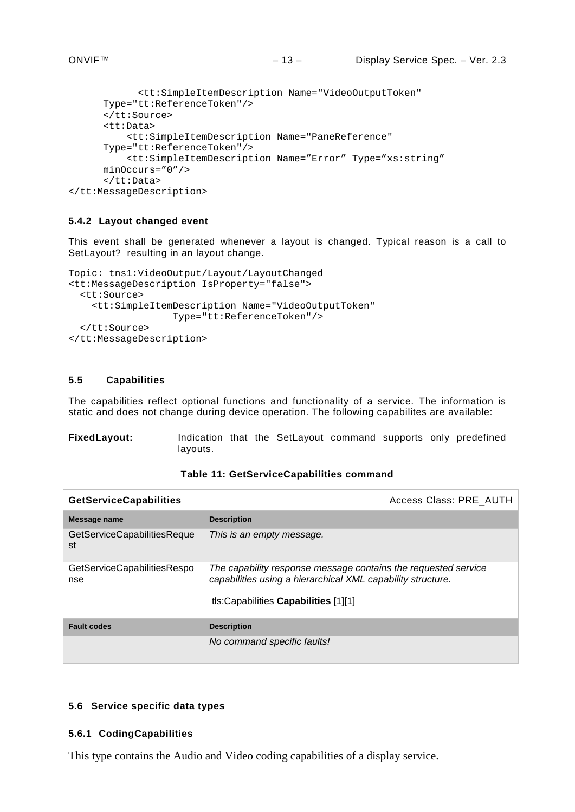```
<tt:SimpleItemDescription Name="VideoOutputToken" 
      Type="tt:ReferenceToken"/> 
      </tt:Source> 
      <tt:Data> 
           <tt:SimpleItemDescription Name="PaneReference" 
      Type="tt:ReferenceToken"/>
           <tt:SimpleItemDescription Name="Error" Type="xs:string" 
      minOccurs="0"/>
      </tt:Data> 
</tt:MessageDescription>
```
# <span id="page-12-0"></span>**5.4.2 Layout changed event**

This event shall be generated whenever a layout is changed. Typical reason is a call to SetLayout? resulting in an layout change.

```
Topic: tns1:VideoOutput/Layout/LayoutChanged
<tt:MessageDescription IsProperty="false"> 
   <tt:Source> 
     <tt:SimpleItemDescription Name="VideoOutputToken"
                    Type="tt:ReferenceToken"/> 
   </tt:Source> 
</tt:MessageDescription>
```
# <span id="page-12-1"></span>**5.5 Capabilities**

The capabilities reflect optional functions and functionality of a service. The information is static and does not change during device operation. The following capabilites are available:

**FixedLayout:** Indication that the SetLayout command supports only predefined layouts.

#### **Table 11: GetServiceCapabilities command**

| <b>GetServiceCapabilities</b>            |                                                                                                                                                                        | Access Class: PRE AUTH |
|------------------------------------------|------------------------------------------------------------------------------------------------------------------------------------------------------------------------|------------------------|
| Message name                             | <b>Description</b>                                                                                                                                                     |                        |
| <b>GetServiceCapabilitiesReque</b><br>st | This is an empty message.                                                                                                                                              |                        |
| GetServiceCapabilitiesRespo<br>nse       | The capability response message contains the requested service<br>capabilities using a hierarchical XML capability structure.<br>tls: Capabilities Capabilities [1][1] |                        |
| <b>Fault codes</b>                       | <b>Description</b>                                                                                                                                                     |                        |
|                                          | No command specific faults!                                                                                                                                            |                        |

#### <span id="page-12-2"></span>**5.6 Service specific data types**

# <span id="page-12-3"></span>**5.6.1 CodingCapabilities**

This type contains the Audio and Video coding capabilities of a display service.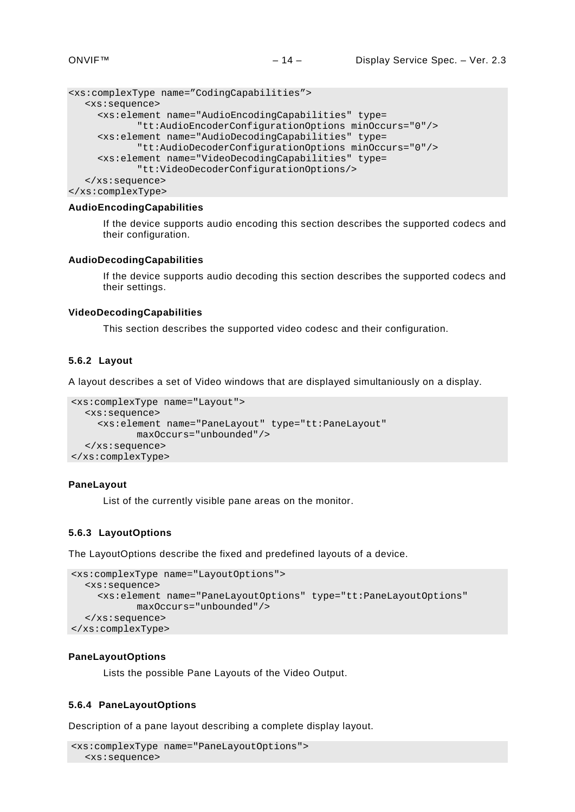```
<xs:complexType name="CodingCapabilities">
  <xs:sequence>
    <xs:element name="AudioEncodingCapabilities" type= 
            "tt:AudioEncoderConfigurationOptions minOccurs="0"/>
     <xs:element name="AudioDecodingCapabilities" type= 
            "tt:AudioDecoderConfigurationOptions minOccurs="0"/>
     <xs:element name="VideoDecodingCapabilities" type= 
            "tt:VideoDecoderConfigurationOptions/>
  </xs:sequence>
</xs:complexType>
```
#### **AudioEncodingCapabilities**

If the device supports audio encoding this section describes the supported codecs and their configuration.

#### **AudioDecodingCapabilities**

If the device supports audio decoding this section describes the supported codecs and their settings.

#### **VideoDecodingCapabilities**

This section describes the supported video codesc and their configuration.

#### <span id="page-13-0"></span>**5.6.2 Layout**

A layout describes a set of Video windows that are displayed simultaniously on a display.

```
<xs:complexType name="Layout">
  <xs:sequence>
    <xs:element name="PaneLayout" type="tt:PaneLayout" 
          maxOccurs="unbounded"/>
  </xs:sequence>
</xs:complexType>
```
### **PaneLayout**

List of the currently visible pane areas on the monitor.

#### <span id="page-13-1"></span>**5.6.3 LayoutOptions**

The LayoutOptions describe the fixed and predefined layouts of a device.

```
<xs:complexType name="LayoutOptions">
  <xs:sequence>
    <xs:element name="PaneLayoutOptions" type="tt:PaneLayoutOptions" 
          maxOccurs="unbounded"/>
  </xs:sequence>
</xs:complexType>
```
#### **PaneLayoutOptions**

Lists the possible Pane Layouts of the Video Output.

#### <span id="page-13-2"></span>**5.6.4 PaneLayoutOptions**

Description of a pane layout describing a complete display layout.

```
<xs:complexType name="PaneLayoutOptions">
  <xs:sequence>
```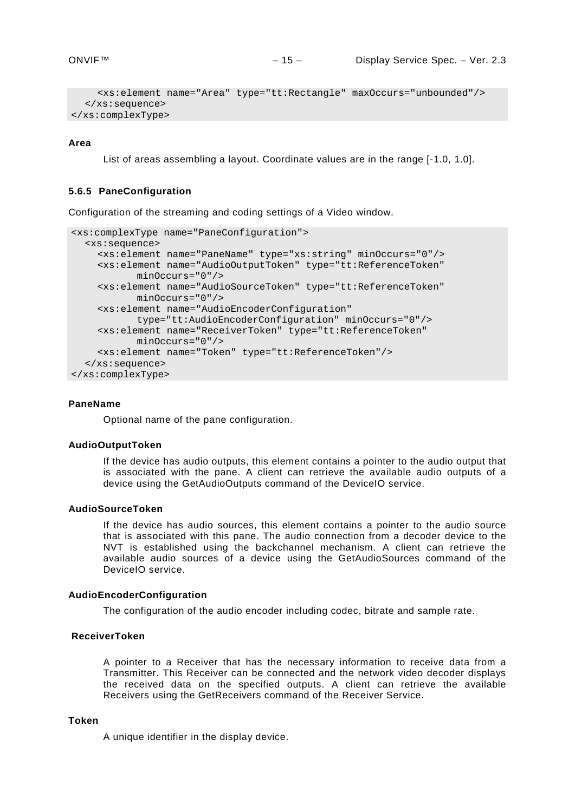```
<xs:element name="Area" type="tt:Rectangle" maxOccurs="unbounded"/>
  </xs:sequence>
</xs:complexType>
```
#### **Area**

List of areas assembling a layout. Coordinate values are in the range [-1.0, 1.0].

#### <span id="page-14-0"></span>**5.6.5 PaneConfiguration**

Configuration of the streaming and coding settings of a Video window.

```
<xs:complexType name="PaneConfiguration">
  <xs:sequence>
    <xs:element name="PaneName" type="xs:string" minOccurs="0"/>
    <xs:element name="AudioOutputToken" type="tt:ReferenceToken" 
           minOccurs="0"/>
    <xs:element name="AudioSourceToken" type="tt:ReferenceToken" 
           minOccurs="0"/>
    <xs:element name="AudioEncoderConfiguration" 
           type="tt:AudioEncoderConfiguration" minOccurs="0"/>
    <xs:element name="ReceiverToken" type="tt:ReferenceToken" 
           minOccurs="0"/>
    <xs:element name="Token" type="tt:ReferenceToken"/>
  </xs:sequence>
</xs:complexType>
```
#### **PaneName**

Optional name of the pane configuration.

#### **AudioOutputToken**

If the device has audio outputs, this element contains a pointer to the audio output that is associated with the pane. A client can retrieve the available audio outputs of a device using the GetAudioOutputs command of the DeviceIO service.

#### **AudioSourceToken**

If the device has audio sources, this element contains a pointer to the audio source that is associated with this pane. The audio connection from a decoder device to the NVT is established using the backchannel mechanism. A client can retrieve the available audio sources of a device using the GetAudioSources command of the DeviceIO service.

#### **AudioEncoderConfiguration**

The configuration of the audio encoder including codec, bitrate and sample rate.

#### **ReceiverToken**

A pointer to a Receiver that has the necessary information to receive data from a Transmitter. This Receiver can be connected and the network video decoder displays the received data on the specified outputs. A client can retrieve the available Receivers using the GetReceivers command of the Receiver Service.

#### **Token**

A unique identifier in the display device.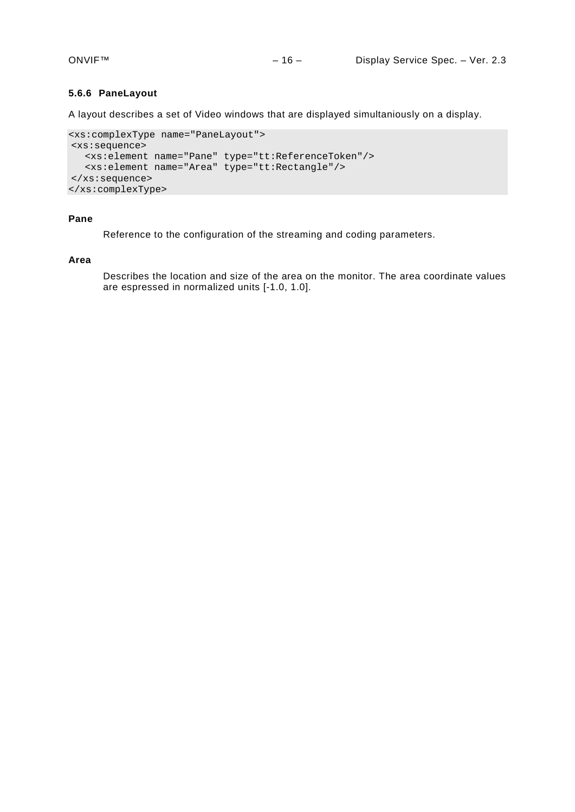# <span id="page-15-0"></span>**5.6.6 PaneLayout**

A layout describes a set of Video windows that are displayed simultaniously on a display.

```
<xs:complexType name="PaneLayout">
<xs:sequence>
  <xs:element name="Pane" type="tt:ReferenceToken"/>
  <xs:element name="Area" type="tt:Rectangle"/>
</xs:sequence>
</xs:complexType>
```
#### **Pane**

Reference to the configuration of the streaming and coding parameters.

#### **Area**

Describes the location and size of the area on the monitor. The area coordinate values are espressed in normalized units [-1.0, 1.0].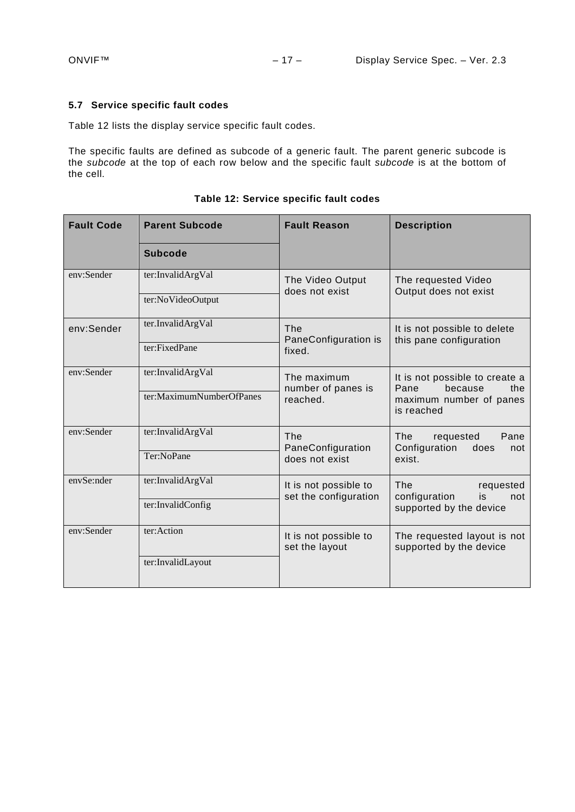# <span id="page-16-0"></span>**5.7 Service specific fault codes**

[Table 12](#page-16-1) lists the display service specific fault codes.

The specific faults are defined as subcode of a generic fault. The parent generic subcode is the *subcode* at the top of each row below and the specific fault *subcode* is at the bottom of the cell.

<span id="page-16-1"></span>

| <b>Fault Code</b> | <b>Parent Subcode</b>                         | <b>Fault Reason</b>                               | <b>Description</b>                                                                                |
|-------------------|-----------------------------------------------|---------------------------------------------------|---------------------------------------------------------------------------------------------------|
|                   | <b>Subcode</b>                                |                                                   |                                                                                                   |
| env:Sender        | ter:InvalidArgVal<br>ter:NoVideoOutput        | The Video Output<br>does not exist                | The requested Video<br>Output does not exist                                                      |
| env:Sender        | ter.InvalidArgVal<br>ter:FixedPane            | The<br>PaneConfiguration is<br>fixed.             | It is not possible to delete<br>this pane configuration                                           |
| env:Sender        | ter:InvalidArgVal<br>ter:MaximumNumberOfPanes | The maximum<br>number of panes is<br>reached.     | It is not possible to create a<br>Pane<br>because<br>the<br>maximum number of panes<br>is reached |
| env:Sender        | ter:InvalidArgVal<br>Ter:NoPane               | <b>The</b><br>PaneConfiguration<br>does not exist | The<br>Pane<br>requested<br>Configuration<br>does<br>not<br>exist.                                |
| envSe:nder        | ter:InvalidArgVal<br>ter:InvalidConfig        | It is not possible to<br>set the configuration    | <b>The</b><br>requested<br>configuration<br>is<br>not<br>supported by the device                  |
| env:Sender        | ter:Action<br>ter:InvalidLayout               | It is not possible to<br>set the layout           | The requested layout is not<br>supported by the device                                            |

**Table 12: Service specific fault codes**